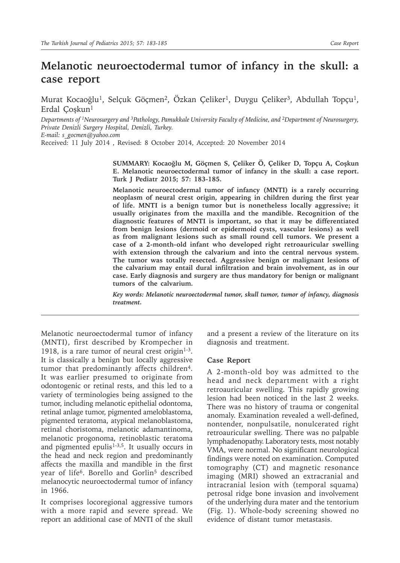## **Melanotic neuroectodermal tumor of infancy in the skull: a case report**

Murat Kocaoğlu<sup>1</sup>, Selçuk Göçmen<sup>2</sup>, Özkan Çeliker<sup>1</sup>, Duygu Çeliker<sup>3</sup>, Abdullah Topçu<sup>1</sup>, Erdal Çoşkun<sup>1</sup>

*Departments of 1Neurosurgery and 3Pathology, Pamukkale University Faculty of Medicine, and 2Department of Neurosurgery, Private Denizli Surgery Hospital, Denizli, Turkey. E-mail: s\_gocmen@yahoo.com*

Received: 11 July 2014 , Revised: 8 October 2014, Accepted: 20 November 2014

**SUMMARY: Kocaoğlu M, Göçmen S, Çeliker Ö, Çeliker D, Topçu A, Coşkun E. Melanotic neuroectodermal tumor of infancy in the skull: a case report. Turk J Pediatr 2015; 57: 183-185.**

**Melanotic neuroectodermal tumor of infancy (MNTI) is a rarely occurring neoplasm of neural crest origin, appearing in children during the first year of life. MNTI is a benign tumor but is nonetheless locally aggressive; it usually originates from the maxilla and the mandible. Recognition of the diagnostic features of MNTI is important, so that it may be differentiated from benign lesions (dermoid or epidermoid cysts, vascular lesions) as well as from malignant lesions such as small round cell tumors. We present a case of a 2-month-old infant who developed right retroauricular swelling with extension through the calvarium and into the central nervous system. The tumor was totally resected. Aggressive benign or malignant lesions of the calvarium may entail dural infiltration and brain involvement, as in our case. Early diagnosis and surgery are thus mandatory for benign or malignant tumors of the calvarium.**

*Key words: Melanotic neuroectodermal tumor, skull tumor, tumor of infancy, diagnosis treatment.*

Melanotic neuroectodermal tumor of infancy (MNTI), first described by Krompecher in 1918, is a rare tumor of neural crest origin $1-3$ . It is classically a benign but locally aggressive tumor that predominantly affects children<sup>4</sup>. It was earlier presumed to originate from odontogenic or retinal rests, and this led to a variety of terminologies being assigned to the tumor, including melanotic epithelial odontoma, retinal anlage tumor, pigmented ameloblastoma, pigmented teratoma, atypical melanoblastoma, retinal choristoma, melanotic adamantinoma, melanotic progonoma, retinoblastic teratoma and pigmented epulis $1-3,5$ . It usually occurs in the head and neck region and predominantly affects the maxilla and mandible in the first year of life<sup>6</sup>. Borello and Gorlin<sup>5</sup> described melanocytic neuroectodermal tumor of infancy in 1966.

It comprises locoregional aggressive tumors with a more rapid and severe spread. We report an additional case of MNTI of the skull

and a present a review of the literature on its diagnosis and treatment.

## **Case Report**

A 2-month-old boy was admitted to the head and neck department with a right retroauricular swelling. This rapidly growing lesion had been noticed in the last 2 weeks. There was no history of trauma or congenital anomaly. Examination revealed a well-defined, nontender, nonpulsatile, nonulcerated right retroauricular swelling. There was no palpable lymphadenopathy. Laboratory tests, most notably VMA, were normal. No significant neurological findings were noted on examination. Computed tomography (CT) and magnetic resonance imaging (MRI) showed an extracranial and intracranial lesion with (temporal squama) petrosal ridge bone invasion and involvement of the underlying dura mater and the tentorium (Fig. 1). Whole-body screening showed no evidence of distant tumor metastasis.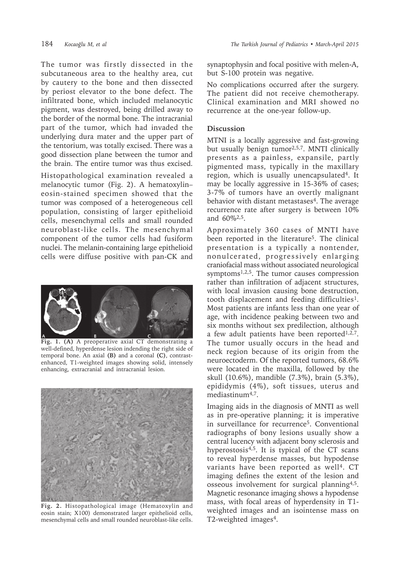The tumor was firstly dissected in the subcutaneous area to the healthy area, cut by cautery to the bone and then dissected by periost elevator to the bone defect. The infiltrated bone, which included melanocytic pigment, was destroyed, being drilled away to the border of the normal bone. The intracranial part of the tumor, which had invaded the underlying dura mater and the upper part of the tentorium, was totally excised. There was a good dissection plane between the tumor and the brain. The entire tumor was thus excised.

Histopathological examination revealed a melanocytic tumor (Fig. 2). A hematoxylin– eosin-stained specimen showed that the tumor was composed of a heterogeneous cell population, consisting of larger epithelioid cells, mesenchymal cells and small rounded neuroblast-like cells. The mesenchymal component of the tumor cells had fusiform nuclei. The melanin-containing large epithelioid cells were diffuse positive with pan-CK and



**Fig. 1. (A)** A preoperative axial CT demonstrating a well-defined, hyperdense lesion indending the right side of temporal bone. An axial **(B)** and a coronal **(C)**, contrastenhanced, T1-weighted images showing solid, intensely enhancing, extracranial and intracranial lesion.



**Fig. 2.** Histopathological image (Hematoxylin and eosin stain; X100) demonstrated larger epithelioid cells, mesenchymal cells and small rounded neuroblast-like cells.

synaptophysin and focal positive with melen-A, but S-100 protein was negative.

No complications occurred after the surgery. The patient did not receive chemotherapy. Clinical examination and MRI showed no recurrence at the one-year follow-up.

## **Discussion**

MTNI is a locally aggressive and fast-growing but usually benign tumor<sup>2,5,7</sup>. MNTI clinically presents as a painless, expansile, partly pigmented mass, typically in the maxillary region, which is usually unencapsulated<sup>4</sup>. It may be locally aggressive in 15-36% of cases; 3-7% of tumors have an overtly malignant behavior with distant metastases $4$ . The average recurrence rate after surgery is between 10% and 60%2,5.

Approximately 360 cases of MNTI have been reported in the literature<sup>5</sup>. The clinical presentation is a typically a nontender, nonulcerated, progressively enlarging craniofacial mass without associated neurological symptoms<sup>1,2,5</sup>. The tumor causes compression rather than infiltration of adjacent structures, with local invasion causing bone destruction, tooth displacement and feeding difficulties1. Most patients are infants less than one year of age, with incidence peaking between two and six months without sex predilection, although a few adult patients have been reported<sup>1,2,7</sup>. The tumor usually occurs in the head and neck region because of its origin from the neuroectoderm. Of the reported tumors, 68.6% were located in the maxilla, followed by the skull (10.6%), mandible (7.3%), brain (5.3%), epididymis (4%), soft tissues, uterus and mediastinum<sup>4,7</sup>.

Imaging aids in the diagnosis of MNTI as well as in pre-operative planning; it is imperative in surveillance for recurrence<sup>5</sup>. Conventional radiographs of bony lesions usually show a central lucency with adjacent bony sclerosis and hyperostosis $4,5$ . It is typical of the CT scans to reveal hyperdense masses, but hypodense variants have been reported as well<sup>4</sup>. CT imaging defines the extent of the lesion and osseous involvement for surgical planning4,5. Magnetic resonance imaging shows a hypodense mass, with focal areas of hyperdensity in T1 weighted images and an isointense mass on T2-weighted images<sup>4</sup>.